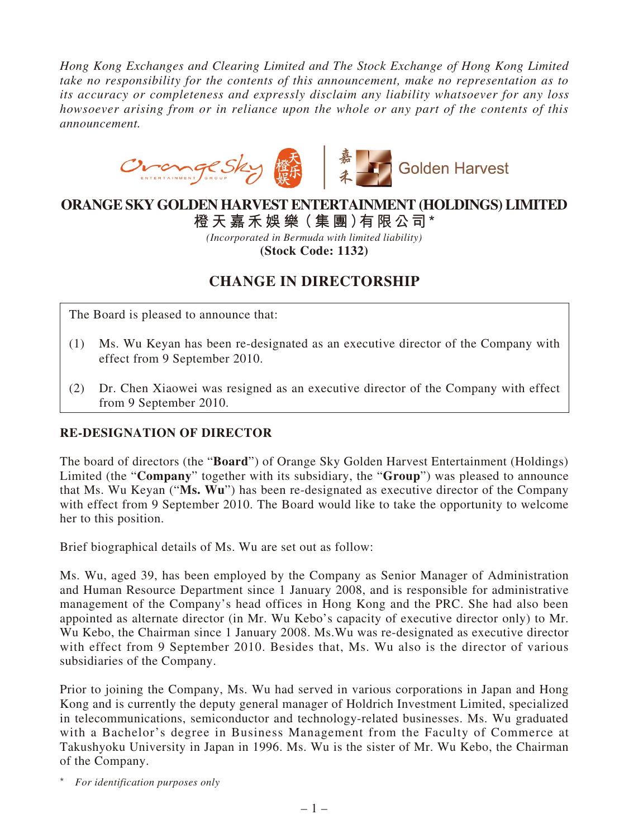*Hong Kong Exchanges and Clearing Limited and The Stock Exchange of Hong Kong Limited take no responsibility for the contents of this announcement, make no representation as to its accuracy or completeness and expressly disclaim any liability whatsoever for any loss howsoever arising from or in reliance upon the whole or any part of the contents of this announcement.*



## **ORANGE SKY GOLDEN HARVEST ENTERTAINMENT (HOLDINGS) LIMITED**

**橙 天 嘉禾娛 樂(集 團)有限公司 \***

*(Incorporated in Bermuda with limited liability)* **(Stock Code: 1132)**

## **CHANGE IN DIRECTORSHIP**

The Board is pleased to announce that:

- (1) Ms. Wu Keyan has been re-designated as an executive director of the Company with effect from 9 September 2010.
- (2) Dr. Chen Xiaowei was resigned as an executive director of the Company with effect from 9 September 2010.

## **Re-designation of Director**

The board of directors (the "**Board**") of Orange Sky Golden Harvest Entertainment (Holdings) Limited (the "**Company**" together with its subsidiary, the "**Group**") was pleased to announce that Ms. Wu Keyan ("**Ms. Wu**") has been re-designated as executive director of the Company with effect from 9 September 2010. The Board would like to take the opportunity to welcome her to this position.

Brief biographical details of Ms. Wu are set out as follow:

Ms. Wu, aged 39, has been employed by the Company as Senior Manager of Administration and Human Resource Department since 1 January 2008, and is responsible for administrative management of the Company's head offices in Hong Kong and the PRC. She had also been appointed as alternate director (in Mr. Wu Kebo's capacity of executive director only) to Mr. Wu Kebo, the Chairman since 1 January 2008. Ms.Wu was re-designated as executive director with effect from 9 September 2010. Besides that, Ms. Wu also is the director of various subsidiaries of the Company.

Prior to joining the Company, Ms. Wu had served in various corporations in Japan and Hong Kong and is currently the deputy general manager of Holdrich Investment Limited, specialized in telecommunications, semiconductor and technology-related businesses. Ms. Wu graduated with a Bachelor's degree in Business Management from the Faculty of Commerce at Takushyoku University in Japan in 1996. Ms. Wu is the sister of Mr. Wu Kebo, the Chairman of the Company.

\* *For identification purposes only*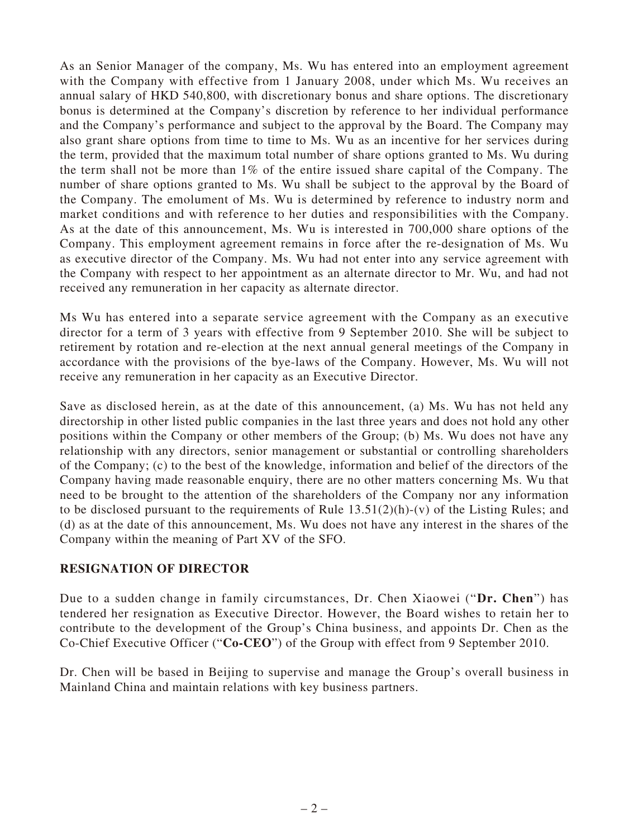As an Senior Manager of the company, Ms. Wu has entered into an employment agreement with the Company with effective from 1 January 2008, under which Ms. Wu receives an annual salary of HKD 540,800, with discretionary bonus and share options. The discretionary bonus is determined at the Company's discretion by reference to her individual performance and the Company's performance and subject to the approval by the Board. The Company may also grant share options from time to time to Ms. Wu as an incentive for her services during the term, provided that the maximum total number of share options granted to Ms. Wu during the term shall not be more than 1% of the entire issued share capital of the Company. The number of share options granted to Ms. Wu shall be subject to the approval by the Board of the Company. The emolument of Ms. Wu is determined by reference to industry norm and market conditions and with reference to her duties and responsibilities with the Company. As at the date of this announcement, Ms. Wu is interested in 700,000 share options of the Company. This employment agreement remains in force after the re-designation of Ms. Wu as executive director of the Company. Ms. Wu had not enter into any service agreement with the Company with respect to her appointment as an alternate director to Mr. Wu, and had not received any remuneration in her capacity as alternate director.

Ms Wu has entered into a separate service agreement with the Company as an executive director for a term of 3 years with effective from 9 September 2010. She will be subject to retirement by rotation and re-election at the next annual general meetings of the Company in accordance with the provisions of the bye-laws of the Company. However, Ms. Wu will not receive any remuneration in her capacity as an Executive Director.

Save as disclosed herein, as at the date of this announcement, (a) Ms. Wu has not held any directorship in other listed public companies in the last three years and does not hold any other positions within the Company or other members of the Group; (b) Ms. Wu does not have any relationship with any directors, senior management or substantial or controlling shareholders of the Company; (c) to the best of the knowledge, information and belief of the directors of the Company having made reasonable enquiry, there are no other matters concerning Ms. Wu that need to be brought to the attention of the shareholders of the Company nor any information to be disclosed pursuant to the requirements of Rule  $13.51(2)(h)-(v)$  of the Listing Rules; and (d) as at the date of this announcement, Ms. Wu does not have any interest in the shares of the Company within the meaning of Part XV of the SFO.

## **Resignation of Director**

Due to a sudden change in family circumstances, Dr. Chen Xiaowei ("**Dr. Chen**") has tendered her resignation as Executive Director. However, the Board wishes to retain her to contribute to the development of the Group's China business, and appoints Dr. Chen as the Co-Chief Executive Officer ("**Co-CEO**") of the Group with effect from 9 September 2010.

Dr. Chen will be based in Beijing to supervise and manage the Group's overall business in Mainland China and maintain relations with key business partners.